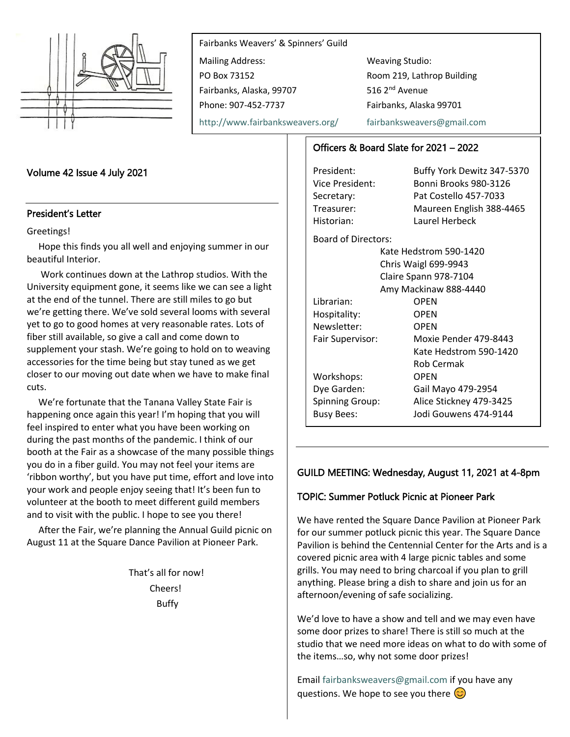

Fairbanks Weavers' & Spinners' Guild Mailing Address: Weaving Studio: PO Box 73152 Room 219, Lathrop Building Fairbanks, Alaska, 99707 516 2<sup>nd</sup> Avenue Phone: 907-452-7737 Fairbanks, Alaska 99701

<http://www.fairbanksweavers.org/> [fairbanksweavers@gmail.com](mailto:fairbanksweavers@gmail.com)

## Volume 42 Issue 4 July 2021

#### President's Letter

#### Greetings!

Hope this finds you all well and enjoying summer in our beautiful Interior.

Work continues down at the Lathrop studios. With the University equipment gone, it seems like we can see a light at the end of the tunnel. There are still miles to go but we're getting there. We've sold several looms with several yet to go to good homes at very reasonable rates. Lots of fiber still available, so give a call and come down to supplement your stash. We're going to hold on to weaving accessories for the time being but stay tuned as we get closer to our moving out date when we have to make final cuts.

We're fortunate that the Tanana Valley State Fair is happening once again this year! I'm hoping that you will feel inspired to enter what you have been working on during the past months of the pandemic. I think of our booth at the Fair as a showcase of the many possible things you do in a fiber guild. You may not feel your items are 'ribbon worthy', but you have put time, effort and love into your work and people enjoy seeing that! It's been fun to volunteer at the booth to meet different guild members and to visit with the public. I hope to see you there!

After the Fair, we're planning the Annual Guild picnic on August 11 at the Square Dance Pavilion at Pioneer Park.

> That's all for now! Cheers! Buffy

## Officers & Board Slate for 2021 – 2022

President: Buffy York Dewitz 347-5370 Vice President: Bonni Brooks 980-3126 Secretary: Pat Costello 457-7033 Treasurer: Maureen English 388-4465 Historian: Laurel Herbeck Board of Directors: Kate Hedstrom 590-1420 Chris Waigl 699-9943 Claire Spann 978-7104 Amy Mackinaw 888-4440 Librarian: OPEN Hospitality: OPEN Newsletter: OPEN Fair Supervisor: Moxie Pender 479-8443 Kate Hedstrom 590-1420 Rob Cermak Workshops: OPEN Dye Garden: Gail Mayo 479-2954 Spinning Group: Alice Stickney 479-3425 Busy Bees: Jodi Gouwens 474-9144

### GUILD MEETING: Wednesday, August 11, 2021 at 4-8pm

## TOPIC: Summer Potluck Picnic at Pioneer Park

We have rented the Square Dance Pavilion at Pioneer Park for our summer potluck picnic this year. The Square Dance Pavilion is behind the Centennial Center for the Arts and is a covered picnic area with 4 large picnic tables and some grills. You may need to bring charcoal if you plan to grill anything. Please bring a dish to share and join us for an afternoon/evening of safe socializing.

We'd love to have a show and tell and we may even have some door prizes to share! There is still so much at the studio that we need more ideas on what to do with some of the items…so, why not some door prizes!

Emai[l fairbanksweavers@gmail.com](mailto:fairbanksweavers@gmail.com) if you have any questions. We hope to see you there  $\circled{c}$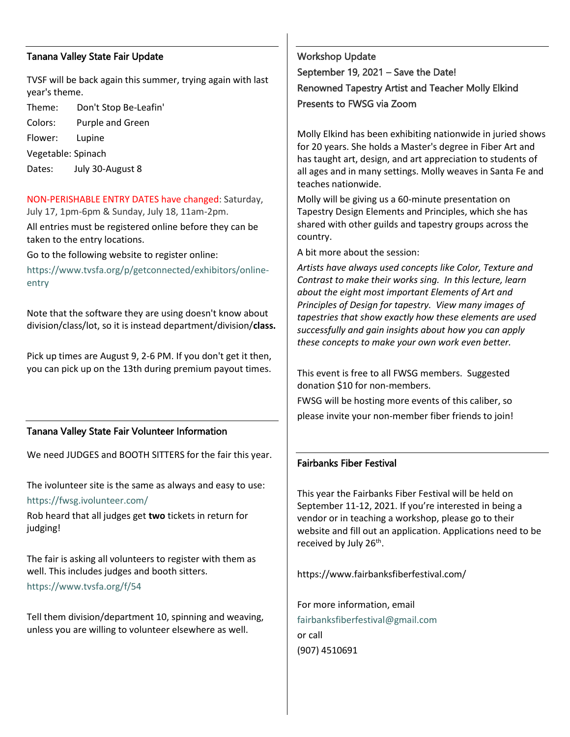## Tanana Valley State Fair Update

TVSF will be back again this summer, trying again with last year's theme.

Theme: Don't Stop Be-Leafin'

Colors: Purple and Green

Flower: Lupine

Vegetable: Spinach

Dates: July 30-August 8

NON-PERISHABLE ENTRY DATES have changed: Saturday, July 17, 1pm-6pm & Sunday, July 18, 11am-2pm.

All entries must be registered online before they can be taken to the entry locations.

Go to the following website to register online:

[https://www.tvsfa.org/p/getconnected/exhibitors/online](https://www.tvsfa.org/p/getconnected/exhibitors/online-entry)[entry](https://www.tvsfa.org/p/getconnected/exhibitors/online-entry)

Note that the software they are using doesn't know about division/class/lot, so it is instead department/division/**class.**

Pick up times are August 9, 2-6 PM. If you don't get it then, you can pick up on the 13th during premium payout times.

## Tanana Valley State Fair Volunteer Information

We need JUDGES and BOOTH SITTERS for the fair this year.

The ivolunteer site is the same as always and easy to use: <https://fwsg.ivolunteer.com/>

Rob heard that all judges get **two** tickets in return for judging!

The fair is asking all volunteers to register with them as well. This includes judges and booth sitters.

<https://www.tvsfa.org/f/54>

Tell them division/department 10, spinning and weaving, unless you are willing to volunteer elsewhere as well.

Workshop Update September 19, 2021 – Save the Date! Renowned Tapestry Artist and Teacher Molly Elkind Presents to FWSG via Zoom

Molly Elkind has been exhibiting nationwide in juried shows for 20 years. She holds a Master's degree in Fiber Art and has taught art, design, and art appreciation to students of all ages and in many settings. Molly weaves in Santa Fe and teaches nationwide.

Molly will be giving us a 60-minute presentation on Tapestry Design Elements and Principles, which she has shared with other guilds and tapestry groups across the country.

A bit more about the session:

*Artists have always used concepts like Color, Texture and Contrast to make their works sing. In this lecture, learn about the eight most important Elements of Art and Principles of Design for tapestry. View many images of tapestries that show exactly how these elements are used successfully and gain insights about how you can apply these concepts to make your own work even better.*

This event is free to all FWSG members. Suggested donation \$10 for non-members.

FWSG will be hosting more events of this caliber, so please invite your non-member fiber friends to join!

# Fairbanks Fiber Festival

This year the Fairbanks Fiber Festival will be held on September 11-12, 2021. If you're interested in being a vendor or in teaching a workshop, please go to their website and fill out an application. Applications need to be received by July 26<sup>th</sup>.

https://www.fairbanksfiberfestival.com/

For more information, email [fairbanksfiberfestival@gmail.com](mailto:fairbanksfiberfestival@gmail.com) or call (907) 4510691